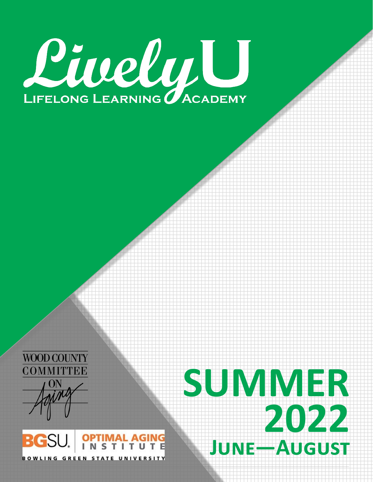





# **SUMMER 2022 June —August**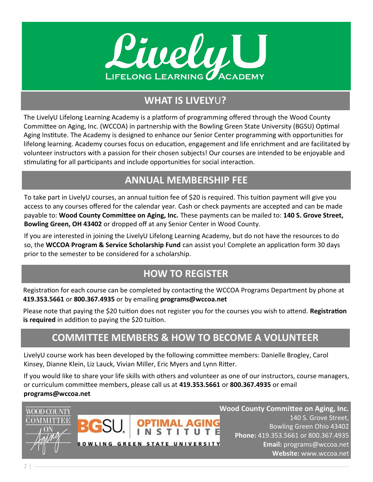

## **WHAT IS LIVELY**U**?**

The LivelyU Lifelong Learning Academy is a platform of programming offered through the Wood County Committee on Aging, Inc. (WCCOA) in partnership with the Bowling Green State University (BGSU) Optimal Aging Institute. The Academy is designed to enhance our Senior Center programming with opportunities for lifelong learning. Academy courses focus on education, engagement and life enrichment and are facilitated by volunteer instructors with a passion for their chosen subjects! Our courses are intended to be enjoyable and stimulating for all participants and include opportunities for social interaction.

## **ANNUAL MEMBERSHIP FEE**

To take part in LivelyU courses, an annual tuition fee of \$20 is required. This tuition payment will give you access to any courses offered for the calendar year. Cash or check payments are accepted and can be made payable to: **Wood County Committee on Aging, Inc.** These payments can be mailed to: **140 S. Grove Street, Bowling Green, OH 43402** or dropped off at any Senior Center in Wood County.

If you are interested in joining the LivelyU Lifelong Learning Academy, but do not have the resources to do so, the **WCCOA Program & Service Scholarship Fund** can assist you! Complete an application form 30 days prior to the semester to be considered for a scholarship.

## **HOW TO REGISTER**

Registration for each course can be completed by contacting the WCCOA Programs Department by phone at **419.353.5661** or **800.367.4935** or by emailing **programs@wccoa.net** 

Please note that paying the \$20 tuition does not register you for the courses you wish to attend. **Registration is required** in addition to paying the \$20 tuition.

## **COMMITTEE MEMBERS & HOW TO BECOME A VOLUNTEER**

LivelyU course work has been developed by the following committee members: Danielle Brogley, Carol Kinsey, Dianne Klein, Liz Lauck, Vivian Miller, Eric Myers and Lynn Ritter.

If you would like to share your life skills with others and volunteer as one of our instructors, course managers, or curriculum committee members, please call us at **419.353.5661** or **800.367.4935** or email **programs@wccoa.net**



**Wood County Committee on Aging, Inc.** 140 S. Grove Street, Bowling Green Ohio 43402 **Phone:** 419.353.5661 or 800.367.4935 **Email:** programs@wccoa.net **Website:** www.wccoa.net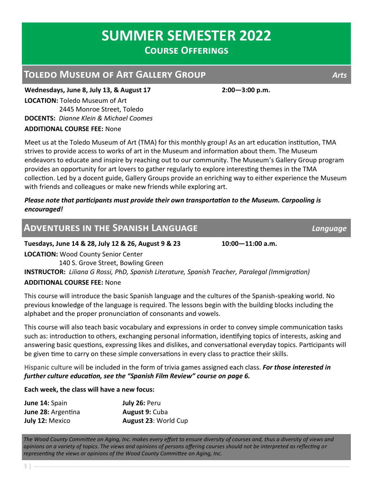**DOCENTS:** *Dianne Klein & Michael Coomes* 

2445 Monroe Street, Toledo

**LOCATION:** Toledo Museum of Art

**ADDITIONAL COURSE FEE:** None

Meet us at the Toledo Museum of Art (TMA) for this monthly group! As an art education institution, TMA strives to provide access to works of art in the Museum and information about them. The Museum endeavors to educate and inspire by reaching out to our community. The Museum's Gallery Group program provides an opportunity for art lovers to gather regularly to explore interesting themes in the TMA collection. Led by a docent guide, Gallery Groups provide an enriching way to either experience the Museum with friends and colleagues or make new friends while exploring art.

#### *Please note that participants must provide their own transportation to the Museum. Carpooling is encouraged!*

#### **Adventures in the Spanish Language** *Language*

**Tuesdays, June 14 & 28, July 12 & 26, August 9 & 23 10:00—11:00 a.m. LOCATION:** Wood County Senior Center 140 S. Grove Street, Bowling Green **INSTRUCTOR:** *Liliana G Rossi, PhD, Spanish Literature, Spanish Teacher, Paralegal (Immigration)*  **ADDITIONAL COURSE FEE:** None

This course will introduce the basic Spanish language and the cultures of the Spanish-speaking world. No previous knowledge of the language is required. The lessons begin with the building blocks including the alphabet and the proper pronunciation of consonants and vowels.

This course will also teach basic vocabulary and expressions in order to convey simple communication tasks such as: introduction to others, exchanging personal information, identifying topics of interests, asking and answering basic questions, expressing likes and dislikes, and conversational everyday topics. Participants will be given time to carry on these simple conversations in every class to practice their skills.

Hispanic culture will be included in the form of trivia games assigned each class. *For those interested in further culture education, see the "Spanish Film Review" course on page 6.*

#### **Each week, the class will have a new focus:**

| June 14: Spain            | July 26: Peru         |
|---------------------------|-----------------------|
| <b>June 28:</b> Argentina | <b>August 9: Cuba</b> |
| July 12: Mexico           | August 23: World Cup  |

*The Wood County Committee on Aging, Inc. makes every effort to ensure diversity of courses and, thus a diversity of views and opinions on a variety of topics. The views and opinions of persons offering courses should not be interpreted as reflecting or representing the views or opinions of the Wood County Committee on Aging, Inc.* 

**Toledo Museum of Art Gallery Group** *Arts*

**Wednesdays, June 8, July 13, & August 17 2:00—3:00 p.m.**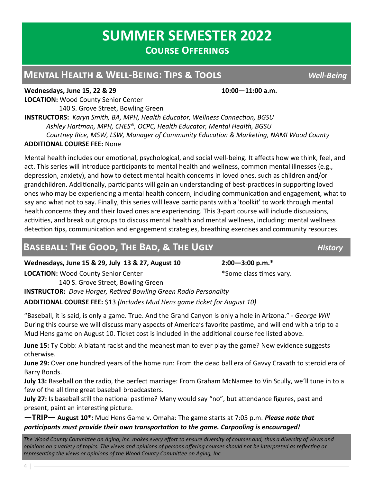#### **Mental Health & Well-Being: Tips & Tools** *Well-Being*

**Wednesdays, June 15, 22 & 29 10:00—11:00 a.m. LOCATION:** Wood County Senior Center 140 S. Grove Street, Bowling Green

**INSTRUCTORS:** *Karyn Smith, BA, MPH, Health Educator, Wellness Connection, BGSU Ashley Hartman, MPH, CHES®, OCPC, Health Educator, Mental Health, BGSU Courtney Rice, MSW, LSW, Manager of Community Education & Marketing, NAMI Wood County* **ADDITIONAL COURSE FEE:** None

Mental health includes our emotional, psychological, and social well-being. It affects how we think, feel, and act. This series will introduce participants to mental health and wellness, common mental illnesses (e.g., depression, anxiety), and how to detect mental health concerns in loved ones, such as children and/or grandchildren. Additionally, participants will gain an understanding of best-practices in supporting loved ones who may be experiencing a mental health concern, including communication and engagement, what to say and what not to say. Finally, this series will leave participants with a 'toolkit' to work through mental health concerns they and their loved ones are experiencing. This 3-part course will include discussions, activities, and break out groups to discuss mental health and mental wellness, including: mental wellness detection tips, communication and engagement strategies, breathing exercises and community resources.

## **BASEBALL: THE GOOD, THE BAD, & THE UGLY** *History*

**Wednesdays, June 15 & 29, July 13 & 27, August 10 2:00—3:00 p.m.\***

**LOCATION:** Wood County Senior Center **Accord 20 and 4** Some class times vary.

 140 S. Grove Street, Bowling Green **INSTRUCTOR:** *Dave Horger, Retired Bowling Green Radio Personality* **ADDITIONAL COURSE FEE:** \$13 *(Includes Mud Hens game ticket for August 10)*

"Baseball, it is said, is only a game. True. And the Grand Canyon is only a hole in Arizona." - *George Will*  During this course we will discuss many aspects of America's favorite pastime, and will end with a trip to a Mud Hens game on August 10. Ticket cost is included in the additional course fee listed above.

**June 15:** Ty Cobb: A blatant racist and the meanest man to ever play the game? New evidence suggests otherwise.

**June 29:** Over one hundred years of the home run: From the dead ball era of Gavvy Cravath to steroid era of Barry Bonds.

**July 13:** Baseball on the radio, the perfect marriage: From Graham McNamee to Vin Scully, we'll tune in to a few of the all time great baseball broadcasters.

**July 27:** Is baseball still the national pastime? Many would say "no", but attendance figures, past and present, paint an interesting picture.

**—TRIP— August 10\*:** Mud Hens Game v. Omaha: The game starts at 7:05 p.m. *Please note that participants must provide their own transportation to the game. Carpooling is encouraged!*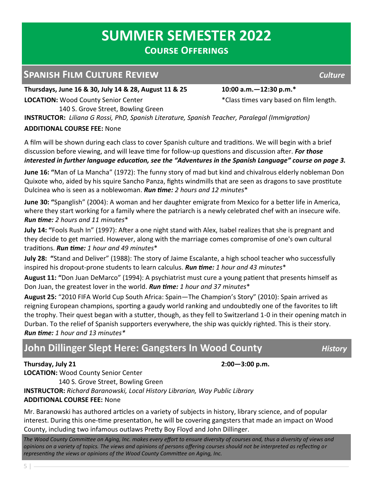#### **Spanish Film Culture Review** *Culture*

**Thursdays, June 16 & 30, July 14 & 28, August 11 & 25 10:00 a.m.—12:30 p.m.\***

140 S. Grove Street, Bowling Green

**LOCATION:** Wood County Senior Center **the County Senior Center \***Class times vary based on film length.

**INSTRUCTOR:** *Liliana G Rossi, PhD, Spanish Literature, Spanish Teacher, Paralegal (Immigration)* 

#### **ADDITIONAL COURSE FEE:** None

A film will be shown during each class to cover Spanish culture and traditions. We will begin with a brief discussion before viewing, and will leave time for follow-up questions and discussion after. *For those interested in further language education, see the "Adventures in the Spanish Language" course on page 3.*

**June 16: "**Man of La Mancha" (1972): The funny story of mad but kind and chivalrous elderly nobleman Don Quixote who, aided by his squire Sancho Panza, fights windmills that are seen as dragons to save prostitute Dulcinea who is seen as a noblewoman. *Run time: 2 hours and 12 minutes*\*

**June 30: "**Spanglish" (2004): A woman and her daughter emigrate from Mexico for a better life in America, where they start working for a family where the patriarch is a newly celebrated chef with an insecure wife. *Run time: 2 hours and 11 minutes*\*

**July 14: "**Fools Rush In" (1997): After a one night stand with Alex, Isabel realizes that she is pregnant and they decide to get married. However, along with the marriage comes compromise of one's own cultural traditions. *Run time: 1 hour and 49 minutes*\*

**July 28: "**Stand and Deliver" (1988): The story of Jaime Escalante, a high school teacher who successfully inspired his dropout-prone students to learn calculus. *Run time: 1 hour and 43 minutes*\*

**August 11: "**Don Juan DeMarco" (1994): A psychiatrist must cure a young patient that presents himself as Don Juan, the greatest lover in the world. *Run time: 1 hour and 37 minutes*\*

**August 25:** "2010 FIFA World Cup South Africa: Spain—The Champion's Story" (2010): Spain arrived as reigning European champions, sporting a gaudy world ranking and undoubtedly one of the favorites to lift the trophy. Their quest began with a stutter, though, as they fell to Switzerland 1-0 in their opening match in Durban. To the relief of Spanish supporters everywhere, the ship was quickly righted. This is their story. *Run time: 1 hour and 13 minutes\**

## **John Dillinger Slept Here: Gangsters In Wood County** *History*

**Thursday, July 21 2:00—3:00 p.m. LOCATION:** Wood County Senior Center

140 S. Grove Street, Bowling Green

**INSTRUCTOR:** *Richard Baranowski, Local History Librarian, Way Public Library*

#### **ADDITIONAL COURSE FEE:** None

Mr. Baranowski has authored articles on a variety of subjects in history, library science, and of popular interest. During this one-time presentation, he will be covering gangsters that made an impact on Wood County, including two infamous outlaws Pretty Boy Floyd and John Dillinger.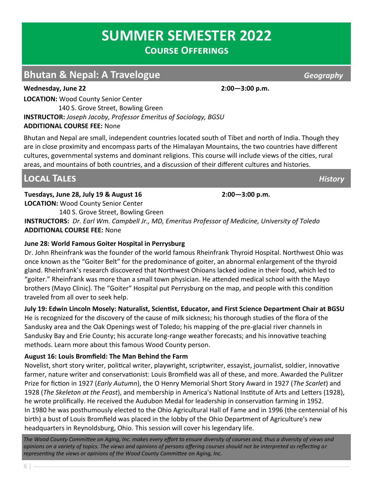## **Bhutan & Nepal: A Travelogue** *Geography Geography*

**Wednesday, June 22 2:00—3:00 p.m.**

**LOCATION:** Wood County Senior Center

 140 S. Grove Street, Bowling Green **INSTRUCTOR:** *Joseph Jacoby, Professor Emeritus of Sociology, BGSU* **ADDITIONAL COURSE FEE:** None

Bhutan and Nepal are small, independent countries located south of Tibet and north of India. Though they are in close proximity and encompass parts of the Himalayan Mountains, the two countries have different cultures, governmental systems and dominant religions. This course will include views of the cities, rural areas, and mountains of both countries, and a discussion of their different cultures and histories.

## **Local Tales** *History*

**Tuesdays, June 28, July 19 & August 16 2:00—3:00 p.m.**

**LOCATION:** Wood County Senior Center 140 S. Grove Street, Bowling Green

**INSTRUCTORS:** *Dr. Earl Wm. Campbell Jr., MD, Emeritus Professor of Medicine, University of Toledo* **ADDITIONAL COURSE FEE:** None

#### **June 28: World Famous Goiter Hospital in Perrysburg**

Dr. John Rheinfrank was the founder of the world famous Rheinfrank Thyroid Hospital. Northwest Ohio was once known as the "Goiter Belt" for the predominance of goiter, an abnormal enlargement of the thyroid gland. Rheinfrank's research discovered that Northwest Ohioans lacked iodine in their food, which led to "goiter." Rheinfrank was more than a small town physician. He attended medical school with the Mayo brothers (Mayo Clinic). The "Goiter" Hospital put Perrysburg on the map, and people with this condition traveled from all over to seek help.

#### **July 19: Edwin Lincoln Mosely: Naturalist, Scientist, Educator, and First Science Department Chair at BGSU**

He is recognized for the discovery of the cause of milk sickness; his thorough studies of the flora of the Sandusky area and the Oak Openings west of Toledo; his mapping of the pre-glacial river channels in Sandusky Bay and Erie County; his accurate long-range weather forecasts; and his innovative teaching methods. Learn more about this famous Wood County person.

#### **August 16: Louis Bromfield: The Man Behind the Farm**

Novelist, short story writer, political writer, playwright, scriptwriter, essayist, journalist, soldier, innovative farmer, nature writer and conservationist: Louis Bromfield was all of these, and more. Awarded the Pulitzer Prize for fiction in 1927 (*Early Autumn*), the O Henry Memorial Short Story Award in 1927 (*The Scarlet*) and 1928 (*The Skeleton at the Feast*), and membership in America's National Institute of Arts and Letters (1928), he wrote prolifically. He received the Audubon Medal for leadership in conservation farming in 1952. In 1980 he was posthumously elected to the Ohio Agricultural Hall of Fame and in 1996 (the centennial of his birth) a bust of Louis Bromfield was placed in the lobby of the Ohio Department of Agriculture's new headquarters in Reynoldsburg, Ohio. This session will cover his legendary life.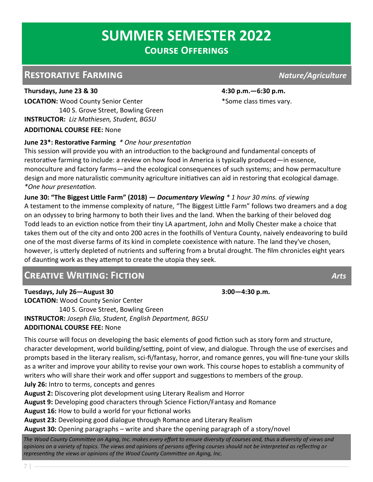#### **Restorative Farming** *Nature/Agriculture*

**Thursdays, June 23 & 30 4:30 p.m.—6:30 p.m. LOCATION:** Wood County Senior Center **1992 Example 20 and Service 20 and SEC 20 and SEC 20 and SEC 20 and SEC 30 and SEC 30 and SEC 30 and SEC 30 and SEC 30 and SEC 30 and SEC 30 and SEC 30 and SEC 30 and SEC 30 and SEC**  140 S. Grove Street, Bowling Green **INSTRUCTOR:** *Liz Mathiesen, Student, BGSU* **ADDITIONAL COURSE FEE:** None

#### **June 23\*: Restorative Farming** *\* One hour presentation*

This session will provide you with an introduction to the background and fundamental concepts of restorative farming to include: a review on how food in America is typically produced—in essence, monoculture and factory farms—and the ecological consequences of such systems; and how permaculture design and more naturalistic community agriculture initiatives can aid in restoring that ecological damage. *\*One hour presentation.* 

**June 30: "The Biggest Little Farm" (2018)** *— Documentary Viewing \* 1 hour 30 mins. of viewing*  A testament to the immense complexity of nature, "The Biggest Little Farm" follows two dreamers and a dog on an odyssey to bring harmony to both their lives and the land. When the barking of their beloved dog Todd leads to an eviction notice from their tiny LA apartment, John and Molly Chester make a choice that takes them out of the city and onto 200 acres in the foothills of Ventura County, naively endeavoring to build one of the most diverse farms of its kind in complete coexistence with nature. The land they've chosen, however, is utterly depleted of nutrients and suffering from a brutal drought. The film chronicles eight years of daunting work as they attempt to create the utopia they seek.

#### **Creative Writing: Fiction** *Arts*

**Tuesdays, July 26—August 30 3:00—4:30 p.m.**

**LOCATION:** Wood County Senior Center 140 S. Grove Street, Bowling Green **INSTRUCTOR:** *Joseph Elia, Student, English Department, BGSU* **ADDITIONAL COURSE FEE:** None

This course will focus on developing the basic elements of good fiction such as story form and structure, character development, world building/setting, point of view, and dialogue. Through the use of exercises and prompts based in the literary realism, sci-fi/fantasy, horror, and romance genres, you will fine-tune your skills as a writer and improve your ability to revise your own work. This course hopes to establish a community of writers who will share their work and offer support and suggestions to members of the group. **July 26:** Intro to terms, concepts and genres

**August 2:** Discovering plot development using Literary Realism and Horror

**August 9:** Developing good characters through Science Fiction/Fantasy and Romance

**August 16:** How to build a world for your fictional works

**August 23:** Developing good dialogue through Romance and Literary Realism

**August 30:** Opening paragraphs – write and share the opening paragraph of a story/novel